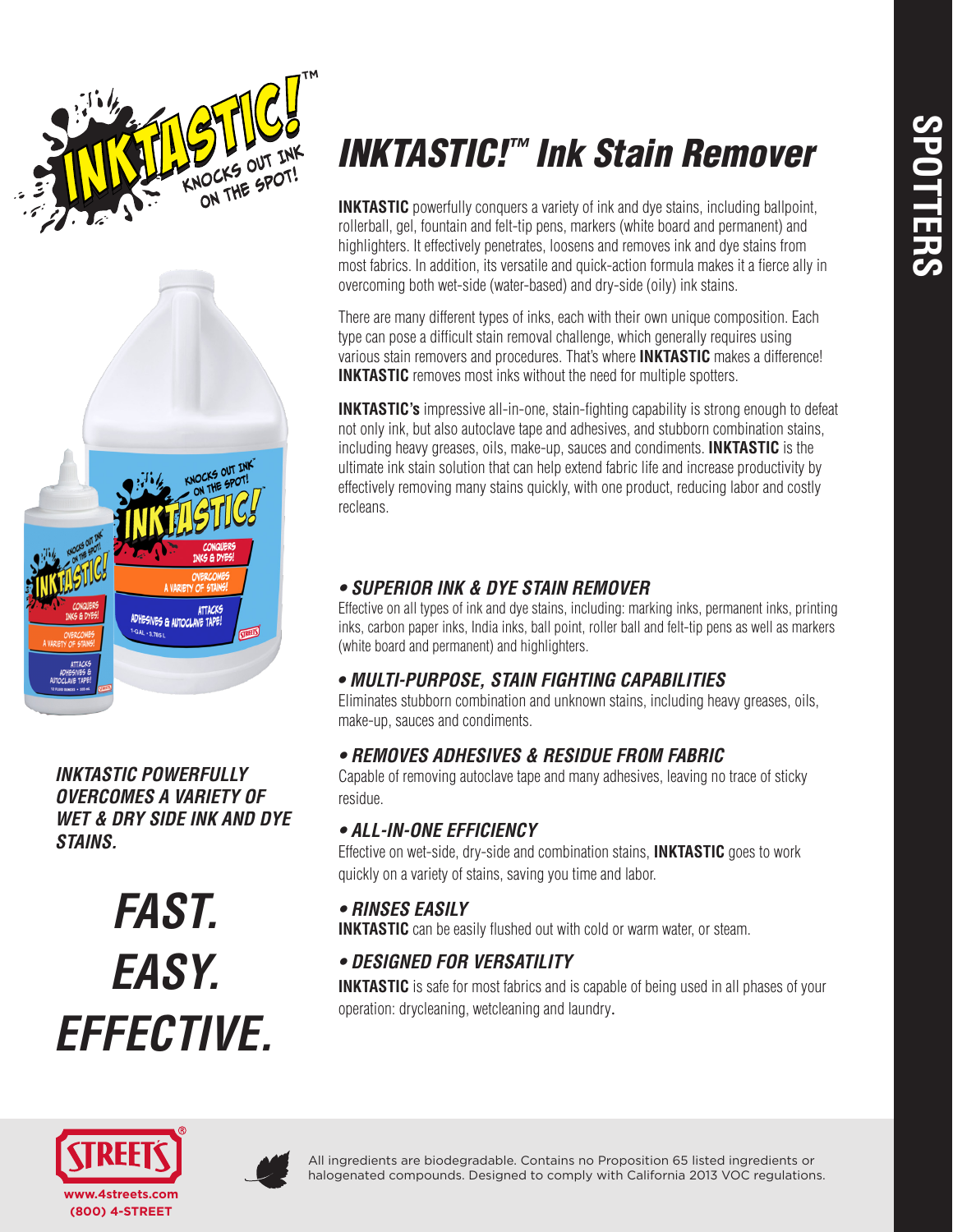



*INKTASTIC POWERFULLY OVERCOMES A VARIETY OF WET & DRY SIDE INK AND DYE STAINS.*

*FAST. EASY. EFFECTIVE.*

# *INKTASTIC!™ Ink Stain Remover*

**INKTASTIC** powerfully conquers a variety of ink and dye stains, including ballpoint, rollerball, gel, fountain and felt-tip pens, markers (white board and permanent) and highlighters. It effectively penetrates, loosens and removes ink and dye stains from most fabrics. In addition, its versatile and quick-action formula makes it a fierce ally in overcoming both wet-side (water-based) and dry-side (oily) ink stains.

There are many different types of inks, each with their own unique composition. Each type can pose a difficult stain removal challenge, which generally requires using various stain removers and procedures. That's where **INKTASTIC** makes a difference! **INKTASTIC** removes most inks without the need for multiple spotters.

**INKTASTIC's** impressive all-in-one, stain-fighting capability is strong enough to defeat not only ink, but also autoclave tape and adhesives, and stubborn combination stains, including heavy greases, oils, make-up, sauces and condiments. **INKTASTIC** is the ultimate ink stain solution that can help extend fabric life and increase productivity by effectively removing many stains quickly, with one product, reducing labor and costly recleans.

# *• SUPERIOR INK & DYE STAIN REMOVER*

Effective on all types of ink and dye stains, including: marking inks, permanent inks, printing inks, carbon paper inks, India inks, ball point, roller ball and felt-tip pens as well as markers (white board and permanent) and highlighters.

# *• MULTI-PURPOSE, STAIN FIGHTING CAPABILITIES*

Eliminates stubborn combination and unknown stains, including heavy greases, oils, make-up, sauces and condiments.

# *• REMOVES ADHESIVES & RESIDUE FROM FABRIC*

Capable of removing autoclave tape and many adhesives, leaving no trace of sticky residue.

# *• ALL-IN-ONE EFFICIENCY*

Effective on wet-side, dry-side and combination stains, **INKTASTIC** goes to work quickly on a variety of stains, saving you time and labor.

# *• RINSES EASILY*

**INKTASTIC** can be easily flushed out with cold or warm water, or steam.

# *• DESIGNED FOR VERSATILITY*

**INKTASTIC** is safe for most fabrics and is capable of being used in all phases of your operation: drycleaning, wetcleaning and laundry.





All ingredients are biodegradable. Contains no Proposition 65 listed ingredients or halogenated compounds. Designed to comply with California 2013 VOC regulations.